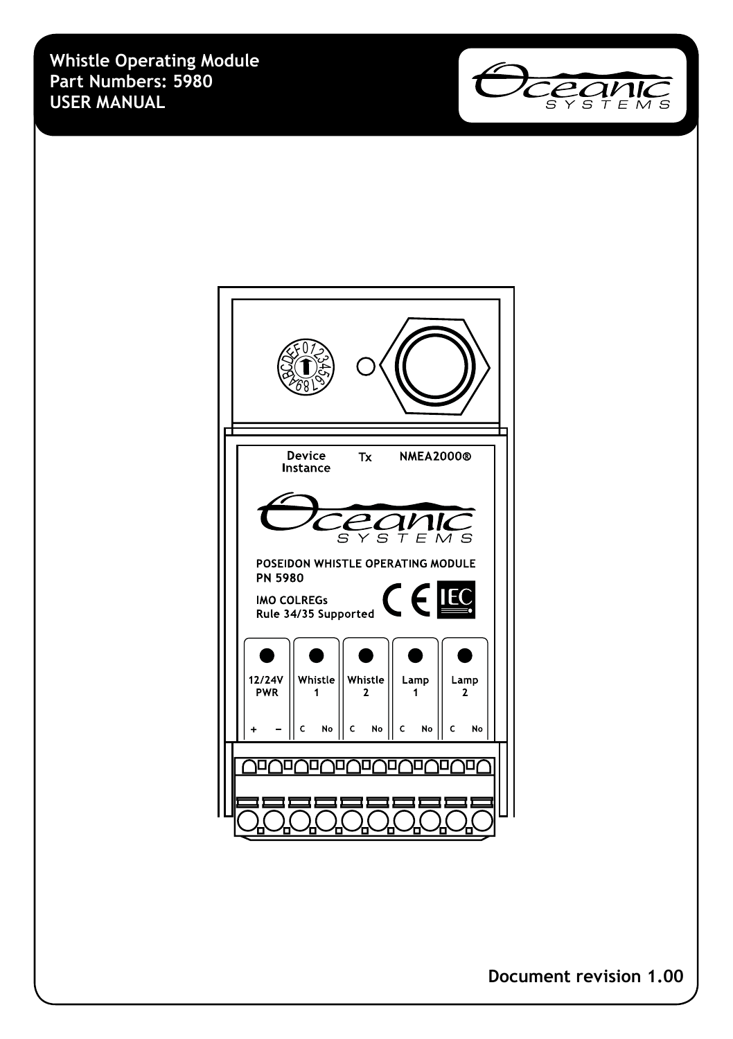**Whistle Operating Module Part Numbers: 5980 USER MANUAL**





**Document revision 1.00**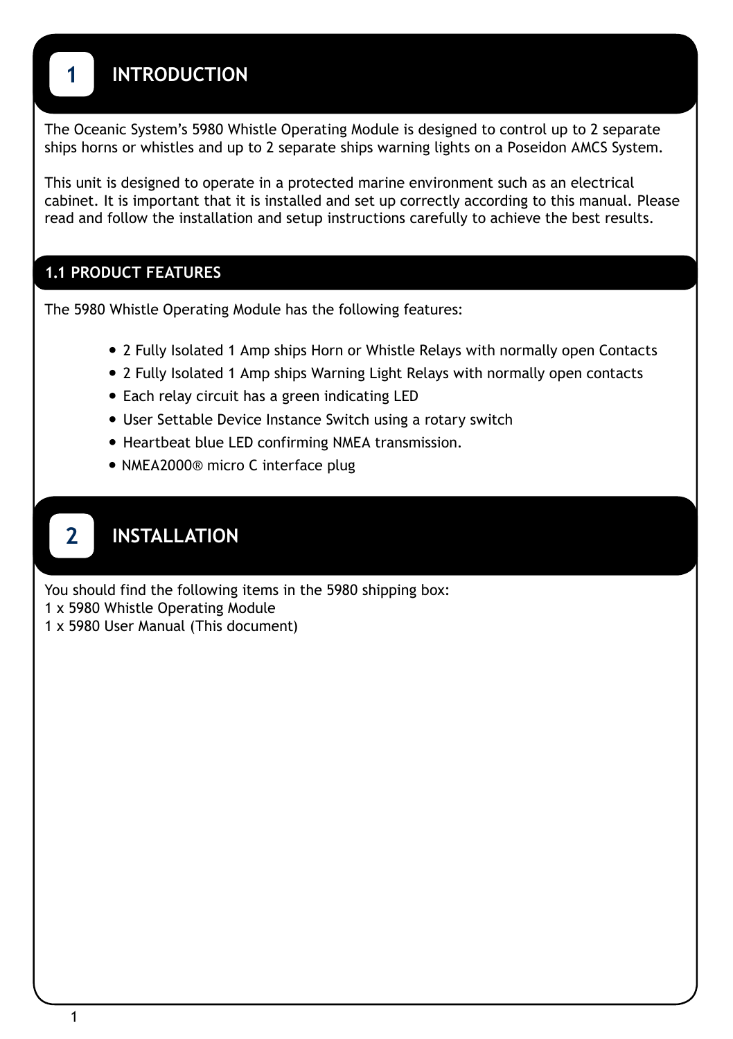The Oceanic System's 5980 Whistle Operating Module is designed to control up to 2 separate ships horns or whistles and up to 2 separate ships warning lights on a Poseidon AMCS System.

This unit is designed to operate in a protected marine environment such as an electrical cabinet. It is important that it is installed and set up correctly according to this manual. Please read and follow the installation and setup instructions carefully to achieve the best results.

## **1.1 PRODUCT FEATURES**

The 5980 Whistle Operating Module has the following features:

- 2 Fully Isolated 1 Amp ships Horn or Whistle Relays with normally open Contacts
- 2 Fully Isolated 1 Amp ships Warning Light Relays with normally open contacts
- Each relay circuit has a green indicating LED
- User Settable Device Instance Switch using a rotary switch
- Heartbeat blue LED confirming NMEA transmission.
- **•** NMEA2000® micro C interface plug

# **2 INSTALLATION**

You should find the following items in the 5980 shipping box:

- 1 x 5980 Whistle Operating Module
- 1 x 5980 User Manual (This document)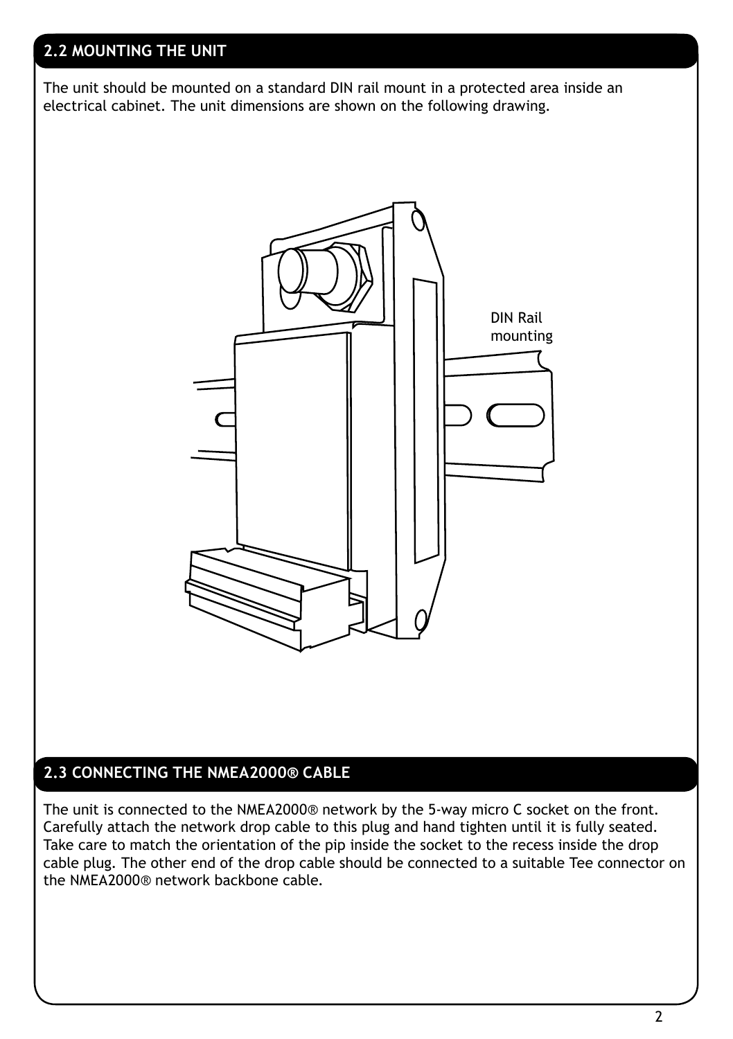## **2.2 MOUNTING THE UNIT**

The unit should be mounted on a standard DIN rail mount in a protected area inside an electrical cabinet. The unit dimensions are shown on the following drawing.



## **2.3 CONNECTING THE NMEA2000® CABLE**

The unit is connected to the NMEA2000® network by the 5-way micro C socket on the front. Carefully attach the network drop cable to this plug and hand tighten until it is fully seated. Take care to match the orientation of the pip inside the socket to the recess inside the drop cable plug. The other end of the drop cable should be connected to a suitable Tee connector on the NMEA2000® network backbone cable.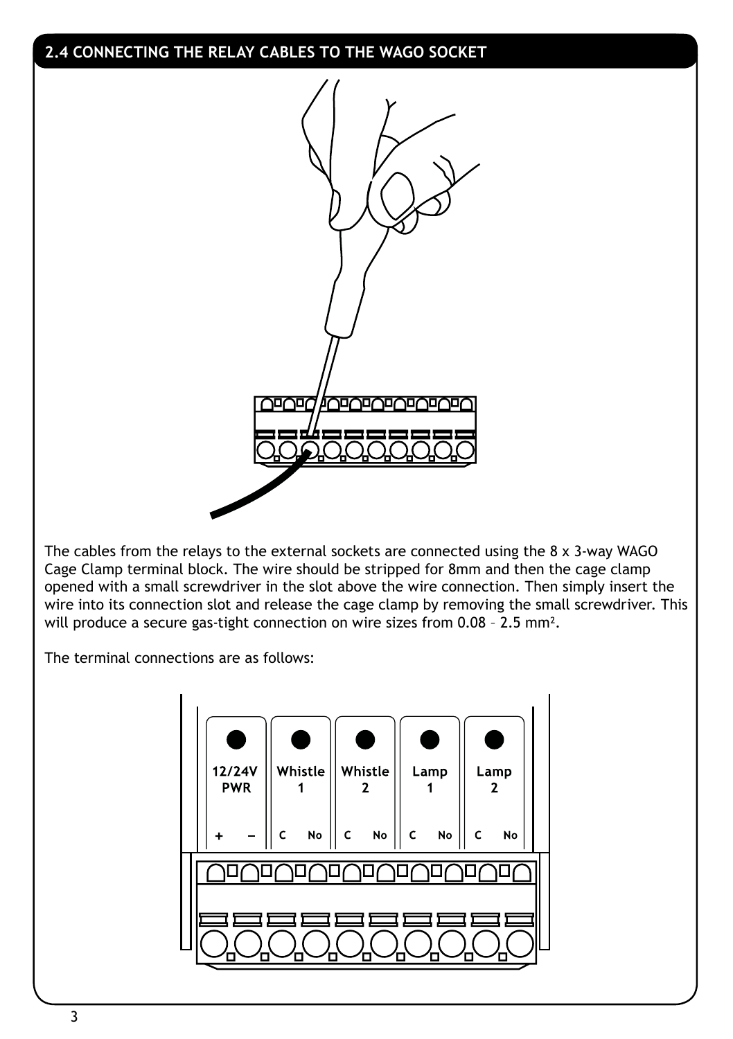## **2.4 CONNECTING THE RELAY CABLES TO THE WAGO SOCKET**



The cables from the relays to the external sockets are connected using the 8 x 3-way WAGO Cage Clamp terminal block. The wire should be stripped for 8mm and then the cage clamp opened with a small screwdriver in the slot above the wire connection. Then simply insert the wire into its connection slot and release the cage clamp by removing the small screwdriver. This will produce a secure gas-tight connection on wire sizes from 0.08 – 2.5 mm².

The terminal connections are as follows:

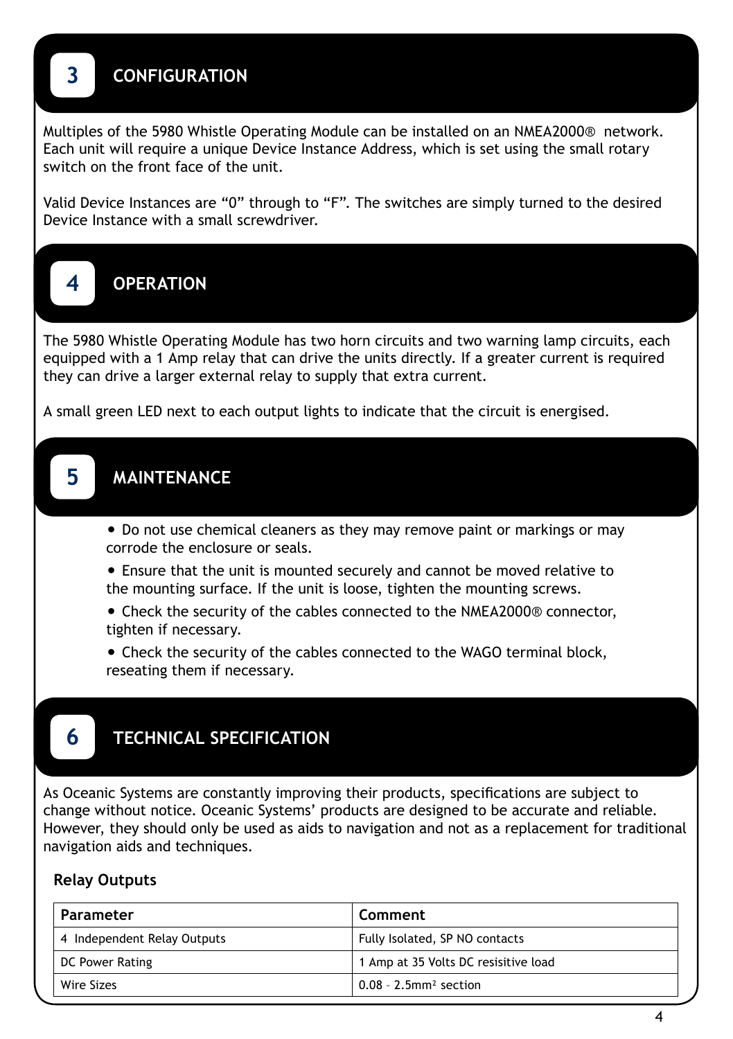# **3 CONFIGURATION**

Multiples of the 5980 Whistle Operating Module can be installed on an NMEA2000® network. Each unit will require a unique Device Instance Address, which is set using the small rotary switch on the front face of the unit.

Valid Device Instances are "0" through to "F". The switches are simply turned to the desired Device Instance with a small screwdriver.



The 5980 Whistle Operating Module has two horn circuits and two warning lamp circuits, each equipped with a 1 Amp relay that can drive the units directly. If a greater current is required they can drive a larger external relay to supply that extra current.

A small green LED next to each output lights to indicate that the circuit is energised.

# **5 MAINTENANCE**

**•** Do not use chemical cleaners as they may remove paint or markings or may corrode the enclosure or seals.

**•** Ensure that the unit is mounted securely and cannot be moved relative to the mounting surface. If the unit is loose, tighten the mounting screws.

**•** Check the security of the cables connected to the NMEA2000® connector, tighten if necessary.

**•** Check the security of the cables connected to the WAGO terminal block, reseating them if necessary.

## **6 TECHNICAL SPECIFICATION**

As Oceanic Systems are constantly improving their products, specifications are subject to change without notice. Oceanic Systems' products are designed to be accurate and reliable. However, they should only be used as aids to navigation and not as a replacement for traditional navigation aids and techniques.

### **Relay Outputs**

| Parameter                   | Comment                              |
|-----------------------------|--------------------------------------|
| 4 Independent Relay Outputs | Fully Isolated, SP NO contacts       |
| DC Power Rating             | 1 Amp at 35 Volts DC resisitive load |
| Wire Sizes                  | $0.08 - 2.5$ mm <sup>2</sup> section |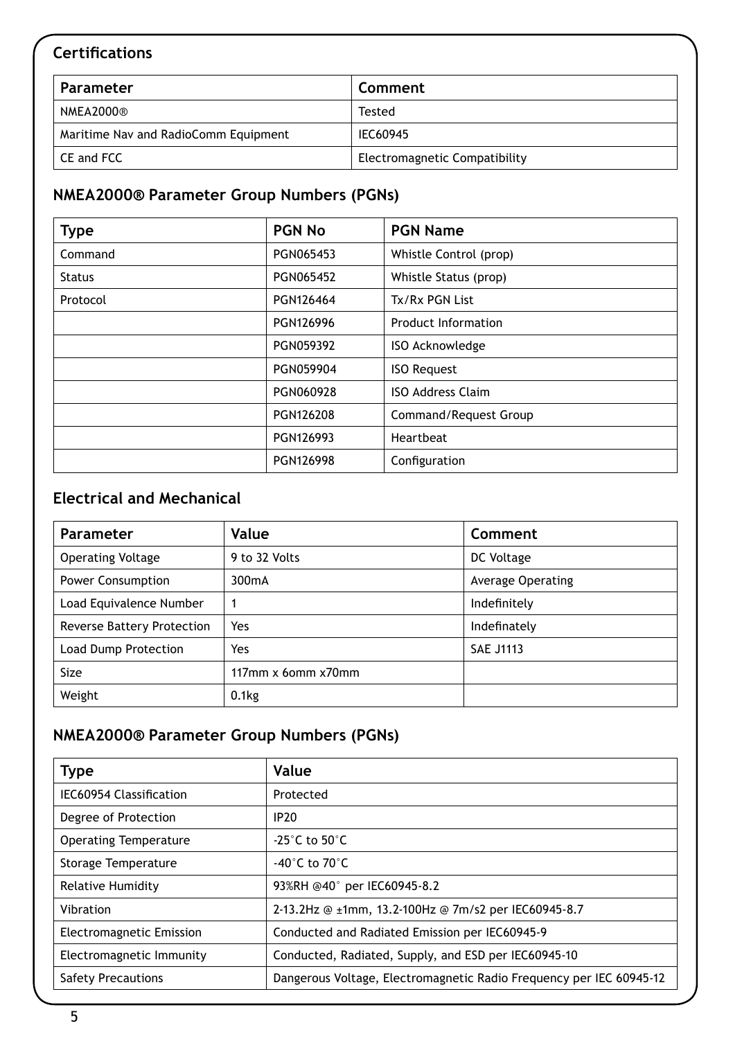## **Certifications**

| Parameter                            | Comment                       |
|--------------------------------------|-------------------------------|
| NMEA2000®                            | Tested                        |
| Maritime Nav and RadioComm Equipment | IEC60945                      |
| CE and FCC                           | Electromagnetic Compatibility |

## **NMEA2000® Parameter Group Numbers (PGNs)**

| <b>Type</b>   | <b>PGN No</b> | <b>PGN Name</b>          |
|---------------|---------------|--------------------------|
| Command       | PGN065453     | Whistle Control (prop)   |
| <b>Status</b> | PGN065452     | Whistle Status (prop)    |
| Protocol      | PGN126464     | Tx/Rx PGN List           |
|               | PGN126996     | Product Information      |
|               | PGN059392     | ISO Acknowledge          |
|               | PGN059904     | <b>ISO Request</b>       |
|               | PGN060928     | <b>ISO Address Claim</b> |
|               | PGN126208     | Command/Request Group    |
|               | PGN126993     | Heartbeat                |
|               | PGN126998     | Configuration            |

## **Electrical and Mechanical**

| <b>Parameter</b>                  | Value              | Comment           |
|-----------------------------------|--------------------|-------------------|
| <b>Operating Voltage</b>          | 9 to 32 Volts      | DC Voltage        |
| <b>Power Consumption</b>          | 300 <sub>m</sub> A | Average Operating |
| Load Equivalence Number           |                    | Indefinitely      |
| <b>Reverse Battery Protection</b> | Yes                | Indefinately      |
| Load Dump Protection              | Yes                | <b>SAE J1113</b>  |
| <b>Size</b>                       | 117mm x 6omm x70mm |                   |
| Weight                            | $0.1$ kg           |                   |

## **NMEA2000® Parameter Group Numbers (PGNs)**

| <b>Type</b>                     | Value                                                               |
|---------------------------------|---------------------------------------------------------------------|
| IEC60954 Classification         | Protected                                                           |
| Degree of Protection            | <b>IP20</b>                                                         |
| <b>Operating Temperature</b>    | -25 $^{\circ}$ C to 50 $^{\circ}$ C                                 |
| Storage Temperature             | -40 $^{\circ}$ C to 70 $^{\circ}$ C                                 |
| <b>Relative Humidity</b>        | 93%RH @40° per IEC60945-8.2                                         |
| Vibration                       | 2-13.2Hz @ ±1mm, 13.2-100Hz @ 7m/s2 per IEC60945-8.7                |
| <b>Electromagnetic Emission</b> | Conducted and Radiated Emission per IEC60945-9                      |
| Electromagnetic Immunity        | Conducted, Radiated, Supply, and ESD per IEC60945-10                |
| <b>Safety Precautions</b>       | Dangerous Voltage, Electromagnetic Radio Frequency per IEC 60945-12 |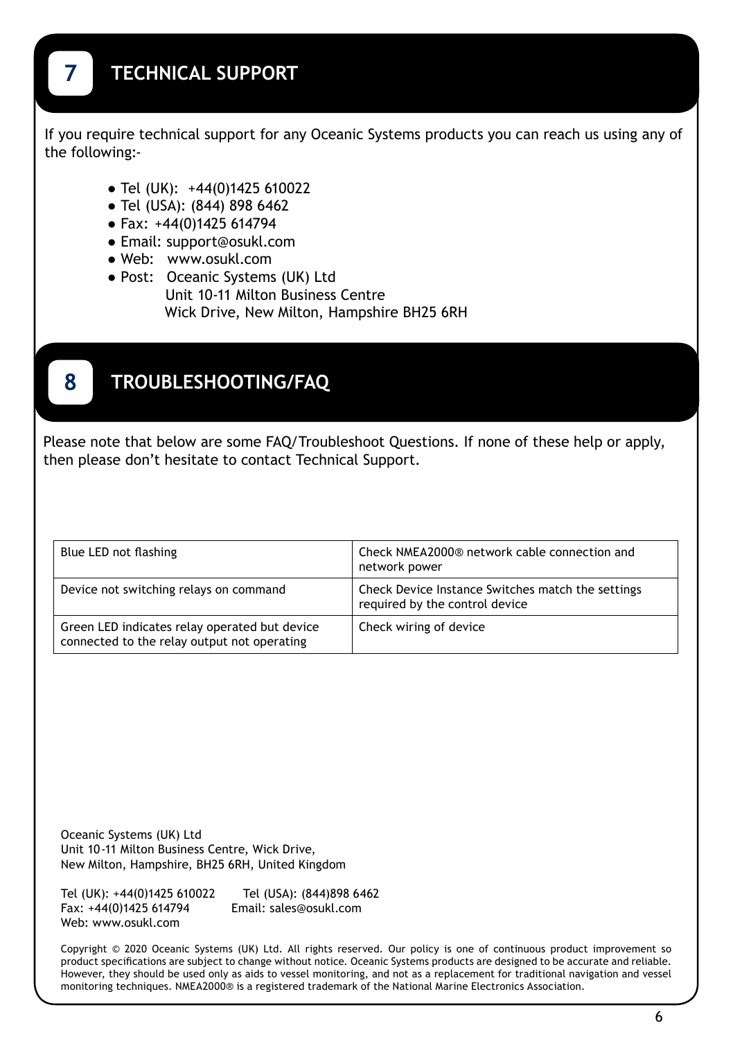If you require technical support for any Oceanic Systems products you can reach us using any of the following:-

- **●** Tel (UK): +44(0)1425 610022
- **●** Tel (USA): (844) 898 6462
- **●** Fax: +44(0)1425 614794
- **●** Email: support@osukl.com
- **●** Web: www.osukl.com
- **●** Post: Oceanic Systems (UK) Ltd Unit 10-11 Milton Business Centre Wick Drive, New Milton, Hampshire BH25 6RH

# **8 TROUBLESHOOTING/FAQ**

Please note that below are some FAQ/Troubleshoot Questions. If none of these help or apply, then please don't hesitate to contact Technical Support.

| Blue LED not flashing                                                                        | Check NMEA2000® network cable connection and<br>network power                       |
|----------------------------------------------------------------------------------------------|-------------------------------------------------------------------------------------|
| Device not switching relays on command                                                       | Check Device Instance Switches match the settings<br>required by the control device |
| Green LED indicates relay operated but device<br>connected to the relay output not operating | Check wiring of device                                                              |

Oceanic Systems (UK) Ltd Unit 10-11 Milton Business Centre, Wick Drive, New Milton, Hampshire, BH25 6RH, United Kingdom

Tel (UK): +44(0)1425 610022 Tel (USA): (844)898 6462 Fax: +44(0)1425 614794 Web: www.osukl.com

Copyright © 2020 Oceanic Systems (UK) Ltd. All rights reserved. Our policy is one of continuous product improvement so product specifications are subject to change without notice. Oceanic Systems products are designed to be accurate and reliable. However, they should be used only as aids to vessel monitoring, and not as a replacement for traditional navigation and vessel monitoring techniques. NMEA2000® is a registered trademark of the National Marine Electronics Association.